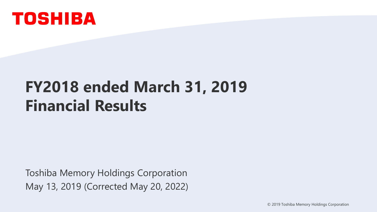

# **FY2018 ended March 31, 2019 Financial Results**

Toshiba Memory Holdings Corporation May 13, 2019 (Corrected May 20, 2022)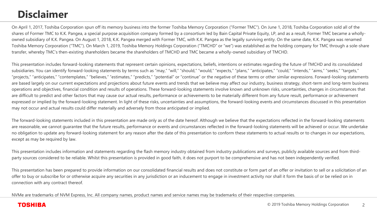### **Disclaimer**

On April 1, 2017, Toshiba Corporation spun off its memory business into the former Toshiba Memory Corporation ("Former TMC"). On June 1, 2018, Toshiba Corporation sold all of the shares of Former TMC to K.K. Pangea, a special purpose acquisition company formed by a consortium led by Bain Capital Private Equity, LP, and as a result, Former TMC became a whollyowned subsidiary of K.K. Pangea. On August 1, 2018, K.K. Pangea merged with Former TMC, with K.K. Pangea as the legally surviving entity. On the same date, K.K. Pangea was renamed Toshiba Memory Corporation ("TMC"). On March 1, 2019, Toshiba Memory Holdings Corporation ("TMCHD" or "we") was established as the holding company for TMC through a sole-share transfer, whereby TMC's then-existing shareholders became the shareholders of TMCHD and TMC became a wholly-owned subsidiary of TMCHD.

This presentation includes forward-looking statements that represent certain opinions, expectations, beliefs, intentions or estimates regarding the future of TMCHD and its consolidated subsidiaries. You can identify forward-looking statements by terms such as "may," "will," "should," "expects," "plans," "anticipates," "could," "intends," "aims," "seeks," "targets," "projects," "anticipates," "contemplates," "believes," "estimates," "predicts," "potential" or "continue" or the negative of these terms or other similar expressions. Forward-looking statements are based largely on our current expectations and projections about future events and trends that we believe may affect our industry, business strategy, short-term and long-term business operations and objectives, financial condition and results of operations. These forward-looking statements involve known and unknown risks, uncertainties, changes in circumstances that are difficult to predict and other factors that may cause our actual results, performance or achievements to be materially different from any future result, performance or achievement expressed or implied by the forward-looking statement. In light of these risks, uncertainties and assumptions, the forward-looking events and circumstances discussed in this presentation may not occur and actual results could differ materially and adversely from those anticipated or implied.

The forward-looking statements included in this presentation are made only as of the date hereof. Although we believe that the expectations reflected in the forward-looking statements are reasonable, we cannot guarantee that the future results, performance or events and circumstances reflected in the forward-looking statements will be achieved or occur. We undertake no obligation to update any forward-looking statement for any reason after the date of this presentation to conform these statements to actual results or to changes in our expectations, except as may be required by law.

This presentation includes information and statements regarding the flash memory industry obtained from industry publications and surveys, publicly available sources and from thirdparty sources considered to be reliable. Whilst this presentation is provided in good faith, it does not purport to be comprehensive and has not been independently verified.

This presentation has been prepared to provide information on our consolidated financial results and does not constitute or form part of an offer or invitation to sell or a solicitation of an offer to buy or subscribe for or otherwise acquire any securities in any jurisdiction or an inducement to engage in investment activity nor shall it form the basis of or be relied on in connection with any contract thereof.

NVMe are trademarks of NVM Express, Inc. All company names, product names and service names may be trademarks of their respective companies.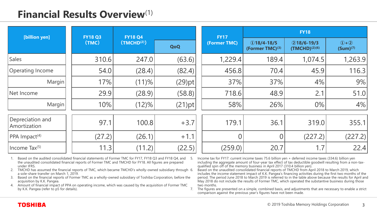### **Financial Results Overview**(1)

| [billion yen]                    | <b>FY18 Q3</b><br>(TMC) | <b>FY18 Q4</b>          |           | <b>FY17</b>    | <b>FY18</b>                                  |                                      |                          |  |
|----------------------------------|-------------------------|-------------------------|-----------|----------------|----------------------------------------------|--------------------------------------|--------------------------|--|
|                                  |                         | (TMCHD <sup>(2)</sup> ) | QoQ       |                | $Q$ 18/4-18/5<br>(Former TMC) <sup>(3)</sup> | $218/6 - 19/3$<br>$(TMCHD)^{(2)(6)}$ | $(1+2)$<br>$(Sum)^{(7)}$ |  |
| <b>Sales</b>                     | 310.6                   | 247.0                   | (63.6)    | 1,229.4        | 189.4                                        | 1,074.5                              | 1,263.9                  |  |
| Operating Income                 | 54.0                    | (28.4)                  | (82.4)    | 456.8          | 70.4                                         | 45.9                                 | 116.3                    |  |
| Margin                           | 17%                     | (11)%                   | $(29)$ pt | 37%            | 37%                                          | 4%                                   | 9%                       |  |
| Net Income                       | 29.9                    | (28.9)                  | (58.8)    | 718.6          | 48.9                                         | 2.1                                  | 51.0                     |  |
| Margin                           | 10%                     | (12)%                   | $(21)$ pt | 58%            | 26%                                          | 0%                                   | 4%                       |  |
| Depreciation and<br>Amortization | 97.1                    | 100.8                   | $+3.7$    | 179.1          | 36.1                                         | 319.0                                | 355.1                    |  |
| $ PPA $ Impact <sup>(4)</sup>    | (27.2)                  | (26.1)                  | $+1.1$    | $\overline{0}$ | $\overline{0}$                               | (227.2)                              | (227.2)                  |  |
| Income Tax(5)                    | 11.3                    | (11.2)                  | (22.5)    | (259.0)        | 20.7                                         | 1.7                                  | 22.4                     |  |

1. Based on the audited consolidated financial statements of Former TMC for FY17, FY18 Q3 and FY18 Q4, and the unaudited consolidated financial reports of Former TMC and TMCHD for FY18. All figures are prepared under IFRS.

2. TMCHD has assumed the financial reports of TMC, which became TMCHD's wholly-owned subsidiary through 6. a sole-share transfer on March 1, 2019.

3. Based on the financial reports of Former TMC as a wholly-owned subsidiary of Toshiba Corporation, before the acquisition by K.K. Pangea.

4. Amount of financial impact of PPA on operating income, which was caused by the acquisition of Former TMC by K.K. Pangea (refer to p5 for details).

5. Income tax for FY17: current income taxes 75.6 billion yen + deferred income taxes (334.6) billion yen including the aggregate amount of four-year tax effect of tax deductible goodwill resulting from a non-taxqualified spin off of the memory business in April 2017 (310.4 billion yen).

6. Based on the unaudited consolidated financial reports of TMCHD from April 2018 to March 2019, which includes the income statement impact of K.K. Pangea's financing activities during the first two months of the period. The period June 2018 to March 2019 is referred to in the table above because the results for April and May 2018 do not include the results of Former TMC, which operated the substantive business during those two months.

7. The figures are presented on a simple, combined basis, and adjustments that are necessary to enable a strict comparison against the previous year's figures have not been made.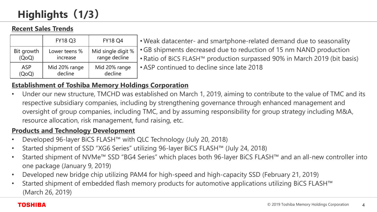## **Highlights(1/3)**

#### **Recent Sales Trends**

|                     | <b>FY18 Q3</b>            | <b>FY18 Q4</b>                      |
|---------------------|---------------------------|-------------------------------------|
| Bit growth<br>(QoQ) | Lower teens %<br>increase | Mid single digit %<br>range decline |
| <b>ASP</b>          | Mid 20% range<br>decline  | Mid 20% range<br>decline            |

• Weak datacenter- and smartphone-related demand due to seasonality •GB shipments decreased due to reduction of 15 nm NAND production • Ratio of BiCS FLASH™ production surpassed 90% in March 2019 (bit basis) • ASP continued to decline since late 2018

#### **Establishment of Toshiba Memory Holdings Corporation**

• Under our new structure, TMCHD was established on March 1, 2019, aiming to contribute to the value of TMC and its respective subsidiary companies, including by strengthening governance through enhanced management and oversight of group companies, including TMC, and by assuming responsibility for group strategy including M&A, resource allocation, risk management, fund raising, etc.

#### **Products and Technology Development**

- Developed 96-layer BiCS FLASH™ with QLC Technology (July 20, 2018)
- Started shipment of SSD "XG6 Series" utilizing 96-layer BiCS FLASH™ (July 24, 2018)
- Started shipment of NVMe™ SSD "BG4 Series" which places both 96-layer BiCS FLASH™ and an all-new controller into one package (January 9, 2019)
- Developed new bridge chip utilizing PAM4 for high-speed and high-capacity SSD (February 21, 2019)
- Started shipment of embedded flash memory products for automotive applications utilizing BiCS FLASH™ (March 26, 2019)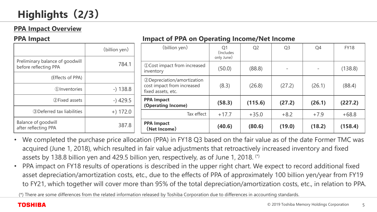#### **PPA Impact Overview**

#### **PPA Impact**

#### **Impact of PPA on Operating Income/Net Income**

|                                                          | (billion yen) | (billion yen)                                    | Q <sub>1</sub><br>(Includes)<br>only June) | Q <sub>2</sub> | Q <sub>3</sub> | Q <sub>4</sub> | <b>FY18</b> |
|----------------------------------------------------------|---------------|--------------------------------------------------|--------------------------------------------|----------------|----------------|----------------|-------------|
| Preliminary balance of goodwill<br>before reflecting PPA | 784.1         | 10 Cost impact from increased<br>inventory       | (50.0)                                     | (88.8)         |                |                | (138.8)     |
| (Effects of PPA)                                         |               | 2 Depreciation/amortization                      |                                            |                |                |                |             |
| 1) Inventories                                           | $-$ ) 138.8   | cost impact from increased<br>fixed assets, etc. | (8.3)                                      | (26.8)         | (27.2)         | (26.1)         | (88.4)      |
| 2 Fixed assets                                           | $-$ ) 429.5   | <b>PPA Impact</b><br>(Operating Income)          | (58.3)                                     | (115.6)        | (27.2)         | (26.1)         | (227.2)     |
| 3 Deferred tax liabilities                               | $+) 172.0$    | Tax effect                                       | $+17.7$                                    | $+35.0$        | $+8.2$         | $+7.9$         | $+68.8$     |
| Balance of goodwill<br>after reflecting PPA              | 387.8         | <b>PPA Impact</b><br>(Net Income)                | (40.6)                                     | (80.6)         | (19.0)         | (18.2)         | (158.4)     |

- We completed the purchase price allocation (PPA) in FY18 Q3 based on the fair value as of the date Former TMC was acquired (June 1, 2018), which resulted in fair value adjustments that retroactively increased inventory and fixed assets by 138.8 billion yen and 429.5 billion yen, respectively, as of June 1, 2018. (\*)
- PPA impact on FY18 results of operations is described in the upper right chart. We expect to record additional fixed asset depreciation/amortization costs, etc., due to the effects of PPA of approximately 100 billion yen/year from FY19 to FY21, which together will cover more than 95% of the total depreciation/amortization costs, etc., in relation to PPA.

(\*) There are some differences from the related information released by Toshiba Corporation due to differences in accounting standards.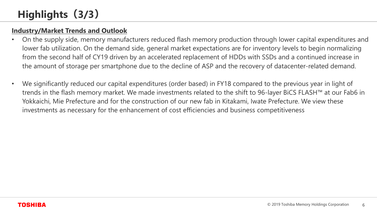#### **Industry/Market Trends and Outlook**

- On the supply side, memory manufacturers reduced flash memory production through lower capital expenditures and lower fab utilization. On the demand side, general market expectations are for inventory levels to begin normalizing from the second half of CY19 driven by an accelerated replacement of HDDs with SSDs and a continued increase in the amount of storage per smartphone due to the decline of ASP and the recovery of datacenter-related demand.
- We significantly reduced our capital expenditures (order based) in FY18 compared to the previous year in light of trends in the flash memory market. We made investments related to the shift to 96-layer BiCS FLASH™ at our Fab6 in Yokkaichi, Mie Prefecture and for the construction of our new fab in Kitakami, Iwate Prefecture. We view these investments as necessary for the enhancement of cost efficiencies and business competitiveness